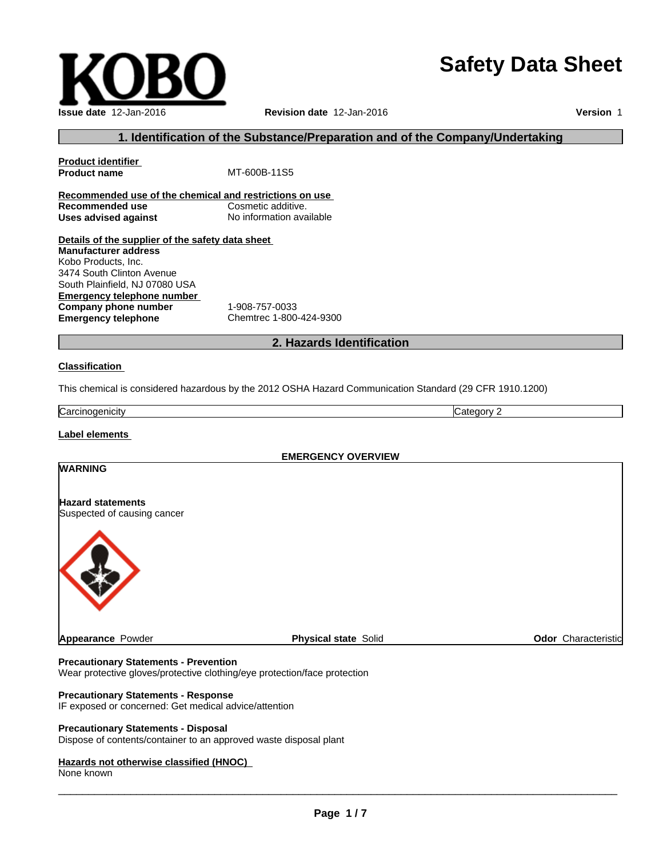# **Safety Data Sheet**

 $\overline{\phantom{a}}$  ,  $\overline{\phantom{a}}$  ,  $\overline{\phantom{a}}$  ,  $\overline{\phantom{a}}$  ,  $\overline{\phantom{a}}$  ,  $\overline{\phantom{a}}$  ,  $\overline{\phantom{a}}$  ,  $\overline{\phantom{a}}$  ,  $\overline{\phantom{a}}$  ,  $\overline{\phantom{a}}$  ,  $\overline{\phantom{a}}$  ,  $\overline{\phantom{a}}$  ,  $\overline{\phantom{a}}$  ,  $\overline{\phantom{a}}$  ,  $\overline{\phantom{a}}$  ,  $\overline{\phantom{a}}$ 

## **1. Identification of the Substance/Preparation and of the Company/Undertaking**

**Product identifier MT-600B-11S5 Recommended use of the chemical and restrictions on use Recommended use Cosmetic additive. Uses advised against** No information available

**Details of the supplier of the safety data sheet Emergency telephone number Company phone number** 1-908-757-0033 **Emergency telephone** Chemtrec 1-800-424-9300 **Manufacturer address** Kobo Products, Inc. 3474 South Clinton Avenue South Plainfield, NJ 07080 USA

**2. Hazards Identification**

#### **Classification**

This chemical is considered hazardous by the 2012 OSHA Hazard Communication Standard (29 CFR 1910.1200)

**Carcinogenicity** Category 2

**Label elements**

**WARNING**

**EMERGENCY OVERVIEW**

# **Hazard statements**

Suspected of causing cancer

**Precautionary Statements - Prevention**

Wear protective gloves/protective clothing/eye protection/face protection

#### **Precautionary Statements - Response**

IF exposed or concerned: Get medical advice/attention

#### **Precautionary Statements - Disposal**

Dispose of contents/container to an approved waste disposal plant

## **Hazards not otherwise classified (HNOC)**

None known





**Appearance Powder Physical state** Solid **Physical State** Solid **Odor** Characteristic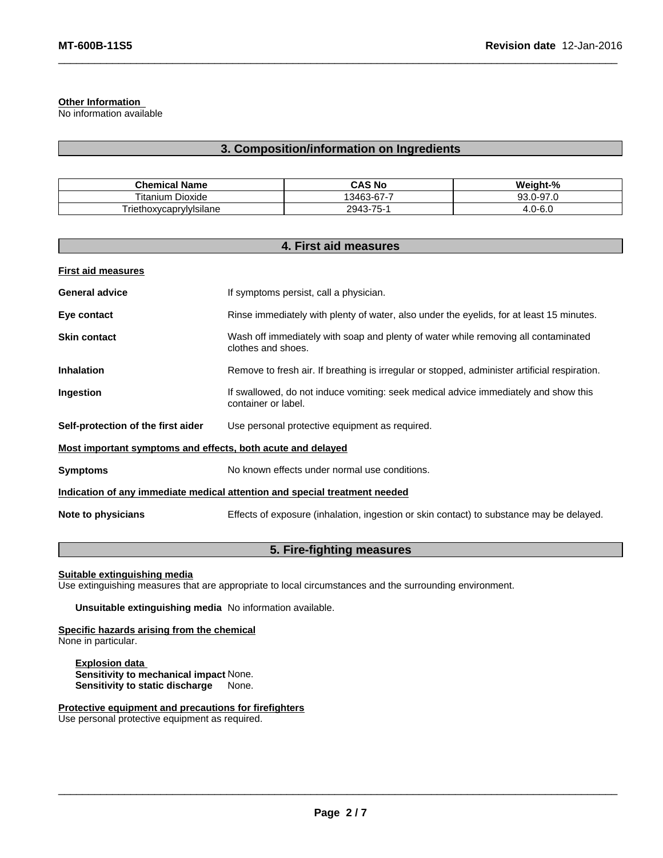## **Other Information**

No information available

## **3. Composition/information on Ingredients**

| <b>Chemical Name</b>               | <b>CAS No</b>                 | Weight-%            |
|------------------------------------|-------------------------------|---------------------|
| Titanium.<br>Dioxide               | $\sim$<br>3463-67             | )-97.0<br>93.0      |
| .<br>⊺riethox∨caprv<br>rvivisilane | $\overline{ }$<br>2943<br>75- | )-6.0<br><b>T.U</b> |

|                                                             | 4. First aid measures                                                                                      |
|-------------------------------------------------------------|------------------------------------------------------------------------------------------------------------|
| <b>First aid measures</b>                                   |                                                                                                            |
| <b>General advice</b>                                       | If symptoms persist, call a physician.                                                                     |
| Eye contact                                                 | Rinse immediately with plenty of water, also under the eyelids, for at least 15 minutes.                   |
| <b>Skin contact</b>                                         | Wash off immediately with soap and plenty of water while removing all contaminated<br>clothes and shoes.   |
| <b>Inhalation</b>                                           | Remove to fresh air. If breathing is irregular or stopped, administer artificial respiration.              |
| Ingestion                                                   | If swallowed, do not induce vomiting: seek medical advice immediately and show this<br>container or label. |
| Self-protection of the first aider                          | Use personal protective equipment as required.                                                             |
| Most important symptoms and effects, both acute and delayed |                                                                                                            |
| <b>Symptoms</b>                                             | No known effects under normal use conditions.                                                              |
|                                                             | Indication of any immediate medical attention and special treatment needed                                 |
| Note to physicians                                          | Effects of exposure (inhalation, ingestion or skin contact) to substance may be delayed.                   |

# **5. Fire-fighting measures**

#### **Suitable extinguishing media**

Use extinguishing measures that are appropriate to local circumstances and the surrounding environment.

**Unsuitable extinguishing media** No information available.

**Specific hazards arising from the chemical** None in particular.

**Explosion data Sensitivity to mechanical impact** None. **Sensitivity to static discharge** None.

**Protective equipment and precautions for firefighters**

Use personal protective equipment as required.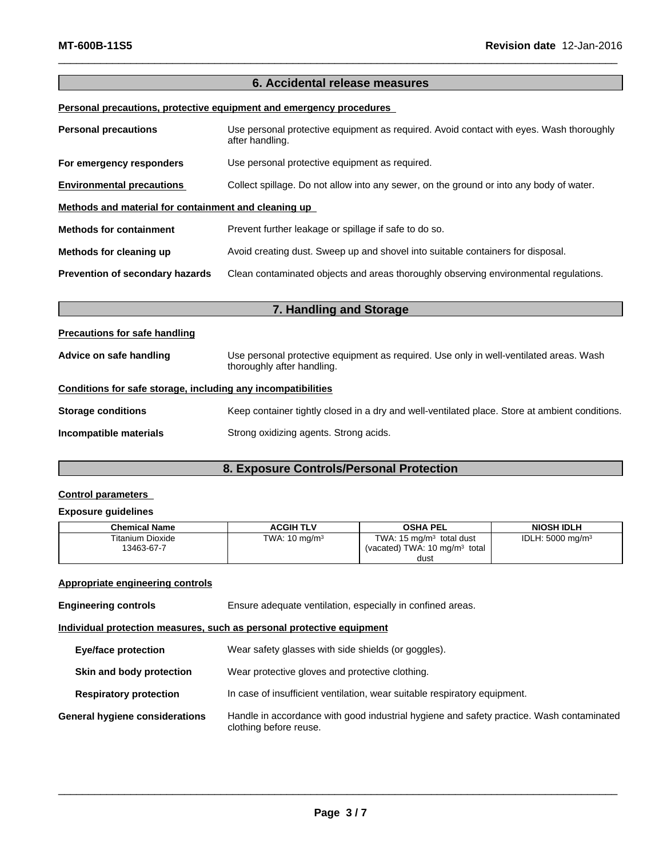## **6. Accidental release measures**

## **Personal precautions, protective equipment and emergency procedures**

| <b>Personal precautions</b>                          | Use personal protective equipment as required. Avoid contact with eyes. Wash thoroughly<br>after handling. |
|------------------------------------------------------|------------------------------------------------------------------------------------------------------------|
| For emergency responders                             | Use personal protective equipment as required.                                                             |
| <b>Environmental precautions</b>                     | Collect spillage. Do not allow into any sewer, on the ground or into any body of water.                    |
| Methods and material for containment and cleaning up |                                                                                                            |
| <b>Methods for containment</b>                       | Prevent further leakage or spillage if safe to do so.                                                      |
| Methods for cleaning up                              | Avoid creating dust. Sweep up and shovel into suitable containers for disposal.                            |
| Prevention of secondary hazards                      | Clean contaminated objects and areas thoroughly observing environmental regulations.                       |

| 7. Handling and Storage                                      |                                                                                                                      |  |
|--------------------------------------------------------------|----------------------------------------------------------------------------------------------------------------------|--|
| Precautions for safe handling                                |                                                                                                                      |  |
| Advice on safe handling                                      | Use personal protective equipment as required. Use only in well-ventilated areas. Wash<br>thoroughly after handling. |  |
| Conditions for safe storage, including any incompatibilities |                                                                                                                      |  |
| <b>Storage conditions</b>                                    | Keep container tightly closed in a dry and well-ventilated place. Store at ambient conditions.                       |  |
| Incompatible materials                                       | Strong oxidizing agents. Strong acids.                                                                               |  |

# **8. Exposure Controls/Personal Protection**

## **Control parameters**

## **Exposure guidelines**

| <b>Chemical Name</b>                  | ACGIH TLV                | OSHA PEL                                                                    | <b>NIOSH IDLH</b>            |
|---------------------------------------|--------------------------|-----------------------------------------------------------------------------|------------------------------|
| <b>Titanium Dioxide</b><br>13463-67-7 | TWA: $10 \text{ mg/m}^3$ | TWA: 15 mg/m $^3$<br>total dust<br>(vacated) TWA: $10 \text{ ma/m}^3$ total | IDLH: 5000 mg/m <sup>3</sup> |
|                                       |                          | dust                                                                        |                              |

## **Appropriate engineering controls**

**Engineering controls** Ensure adequate ventilation, especially in confined areas.

## **Individual protection measures, such as personal protective equipment**

| <b>Eye/face protection</b>     | Wear safety glasses with side shields (or goggles).                                                                |
|--------------------------------|--------------------------------------------------------------------------------------------------------------------|
| Skin and body protection       | Wear protective gloves and protective clothing.                                                                    |
| <b>Respiratory protection</b>  | In case of insufficient ventilation, wear suitable respiratory equipment.                                          |
| General hygiene considerations | Handle in accordance with good industrial hygiene and safety practice. Wash contaminated<br>clothing before reuse. |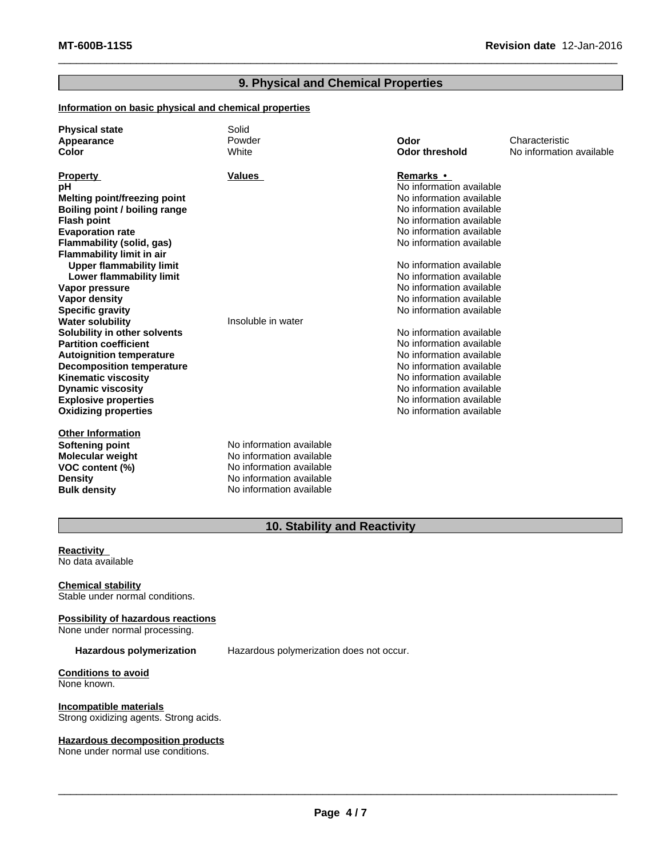## **9. Physical and Chemical Properties**

## **Information on basic physical and chemical properties**

| <b>Physical state</b><br>Appearance | Solid<br>Powder          | Odor                     | Characteristic           |
|-------------------------------------|--------------------------|--------------------------|--------------------------|
| Color                               | White                    | <b>Odor threshold</b>    | No information available |
|                                     |                          |                          |                          |
| <b>Property</b>                     | <b>Values</b>            | Remarks •                |                          |
| рH                                  |                          | No information available |                          |
| Melting point/freezing point        |                          | No information available |                          |
| Boiling point / boiling range       |                          | No information available |                          |
| <b>Flash point</b>                  |                          | No information available |                          |
| <b>Evaporation rate</b>             |                          | No information available |                          |
| Flammability (solid, gas)           |                          | No information available |                          |
| <b>Flammability limit in air</b>    |                          |                          |                          |
| <b>Upper flammability limit</b>     |                          | No information available |                          |
| Lower flammability limit            |                          | No information available |                          |
| Vapor pressure                      |                          | No information available |                          |
| Vapor density                       |                          | No information available |                          |
| <b>Specific gravity</b>             |                          | No information available |                          |
| <b>Water solubility</b>             | Insoluble in water       |                          |                          |
| Solubility in other solvents        |                          | No information available |                          |
| <b>Partition coefficient</b>        |                          | No information available |                          |
| <b>Autoignition temperature</b>     |                          | No information available |                          |
| <b>Decomposition temperature</b>    |                          | No information available |                          |
| <b>Kinematic viscosity</b>          |                          | No information available |                          |
| <b>Dynamic viscosity</b>            |                          | No information available |                          |
| <b>Explosive properties</b>         |                          | No information available |                          |
| <b>Oxidizing properties</b>         |                          | No information available |                          |
| <b>Other Information</b>            |                          |                          |                          |
| Softening point                     | No information available |                          |                          |
| <b>Molecular weight</b>             | No information available |                          |                          |
| VOC content (%)                     | No information available |                          |                          |
| <b>Density</b>                      | No information available |                          |                          |
| <b>Bulk density</b>                 | No information available |                          |                          |

## **10. Stability and Reactivity**

**Reactivity<br>No data available<br>Chemical stability** No data available

Stable under normal conditions.

# **Possibility of hazardous reactions**

None under normal processing.

**Hazardous polymerization** Hazardous polymerization does not occur.

**Conditions to avoid** None known.

**Incompatible materials** Strong oxidizing agents. Strong acids.

## **Hazardous decomposition products**

None under normal use conditions.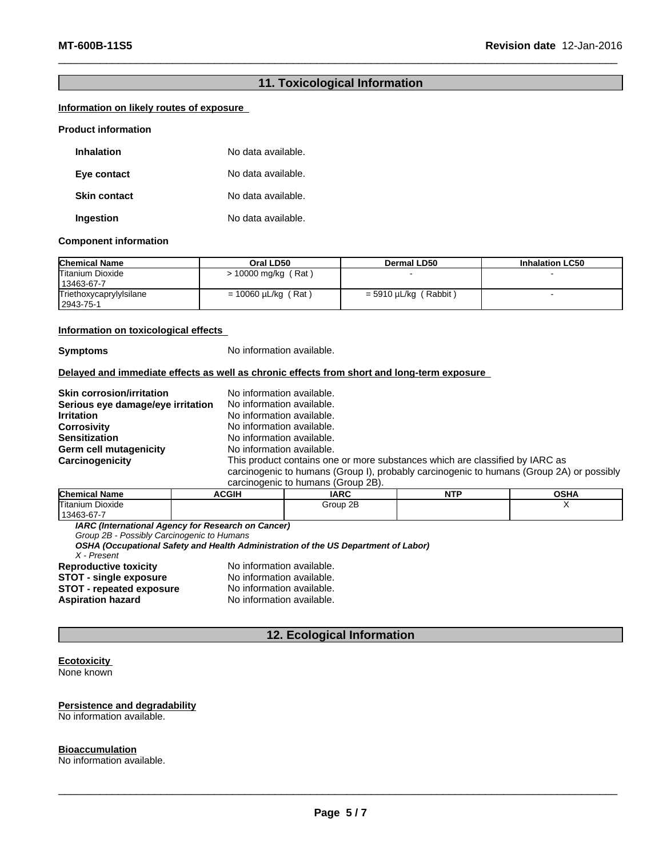## **11. Toxicological Information**

## **Information on likely routes of exposure**

#### **Product information**

| <b>Inhalation</b>   | No data available. |
|---------------------|--------------------|
| Eye contact         | No data available. |
| <b>Skin contact</b> | No data available. |
| Ingestion           | No data available. |

#### **Component information**

| <b>Chemical Name</b>                   | Oral LD50                | Dermal LD50                | <b>Inhalation LC50</b> |
|----------------------------------------|--------------------------|----------------------------|------------------------|
| <b>Titanium Dioxide</b><br>13463-67-7  | > 10000 mg/kg (Rat)      |                            |                        |
| Triethoxycaprylylsilane<br>  2943-75-1 | $= 10060 \mu L/kg$ (Rat) | (Rabbit)<br>= 5910 µL/kg ( |                        |

#### **Information on toxicological effects**

**Symptoms** No information available.

## **Delayed and immediate effects as well as chronic effects from short and long-term exposure**

| <b>Skin corrosion/irritation</b>  | No information available.                                                                |
|-----------------------------------|------------------------------------------------------------------------------------------|
| Serious eye damage/eye irritation | No information available.                                                                |
| <b>Irritation</b>                 | No information available.                                                                |
| Corrosivity                       | No information available.                                                                |
| <b>Sensitization</b>              | No information available.                                                                |
| Germ cell mutagenicity            | No information available.                                                                |
| Carcinogenicity                   | This product contains one or more substances which are classified by IARC as             |
|                                   | carcinogenic to humans (Group I), probably carcinogenic to humans (Group 2A) or possibly |
|                                   | carcinogenic to humans (Group 2B).                                                       |

| <b>Chemical</b><br>. .<br>∣ Name | <b>ACGIH</b> | <b>IARC</b> | NITI<br>IV. | $\sim$ u<br>שרט |
|----------------------------------|--------------|-------------|-------------|-----------------|
| Titanium Dioxide                 |              | Group 2B    |             |                 |
| 13463-67-7                       |              |             |             |                 |

*IARC (International Agency for Research on Cancer)*

*Group 2B - Possibly Carcinogenic to Humans*

*OSHA (Occupational Safety and Health Administration of the US Department of Labor)*

*X - Present* No information available.<br>No information available. **STOT** - single exposure<br> **STOT** - repeated exposure<br>
No information available. **STOT** - repeated exposure **Aspiration hazard** No information available.

## **12. Ecological Information**

#### **Ecotoxicity**  None known

**Persistence and degradability** No information available.

#### **Bioaccumulation**

No information available.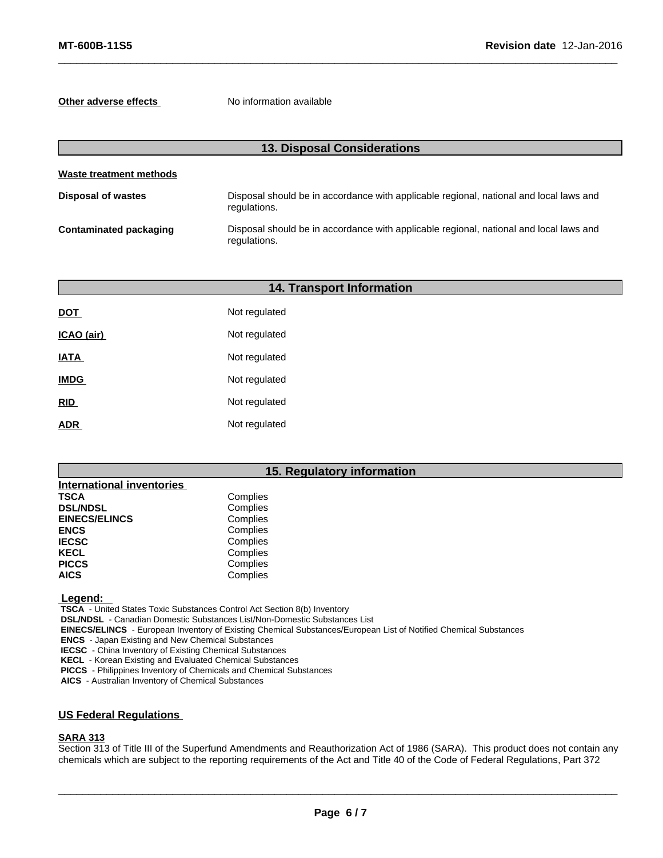**Other adverse effects** No information available

| <b>13. Disposal Considerations</b> |                                                                                                        |  |
|------------------------------------|--------------------------------------------------------------------------------------------------------|--|
| Waste treatment methods            |                                                                                                        |  |
| <b>Disposal of wastes</b>          | Disposal should be in accordance with applicable regional, national and local laws and<br>regulations. |  |
| Contaminated packaging             | Disposal should be in accordance with applicable regional, national and local laws and<br>regulations. |  |

|             | <b>14. Transport Information</b> |  |
|-------------|----------------------------------|--|
| <b>DOT</b>  | Not regulated                    |  |
| ICAO (air)  | Not regulated                    |  |
| <b>IATA</b> | Not regulated                    |  |
| <b>IMDG</b> | Not regulated                    |  |
| RID         | Not regulated                    |  |
| <b>ADR</b>  | Not regulated                    |  |

## **15. Regulatory information**

| <b>International inventories</b> |          |  |
|----------------------------------|----------|--|
| TSCA                             | Complies |  |
| <b>DSL/NDSL</b>                  | Complies |  |
| <b>EINECS/ELINCS</b>             | Complies |  |
| <b>ENCS</b>                      | Complies |  |
| <b>IECSC</b>                     | Complies |  |
| KECL                             | Complies |  |
| <b>PICCS</b>                     | Complies |  |
| AICS                             | Complies |  |

 **Legend:** 

 **TSCA** - United States Toxic Substances Control Act Section 8(b) Inventory

 **DSL/NDSL** - Canadian Domestic Substances List/Non-Domestic Substances List

 **EINECS/ELINCS** - European Inventory of Existing Chemical Substances/European List of Notified Chemical Substances

 **ENCS** - Japan Existing and New Chemical Substances

 **IECSC** - China Inventory of Existing Chemical Substances

 **KECL** - Korean Existing and Evaluated Chemical Substances

 **PICCS** - Philippines Inventory of Chemicals and Chemical Substances

 **AICS** - Australian Inventory of Chemical Substances

## **US Federal Regulations**

### **SARA 313**

Section 313 of Title III of the Superfund Amendments and Reauthorization Act of 1986 (SARA). This product does not contain any chemicals which are subject to the reporting requirements of the Act and Title 40 of the Code of Federal Regulations, Part 372